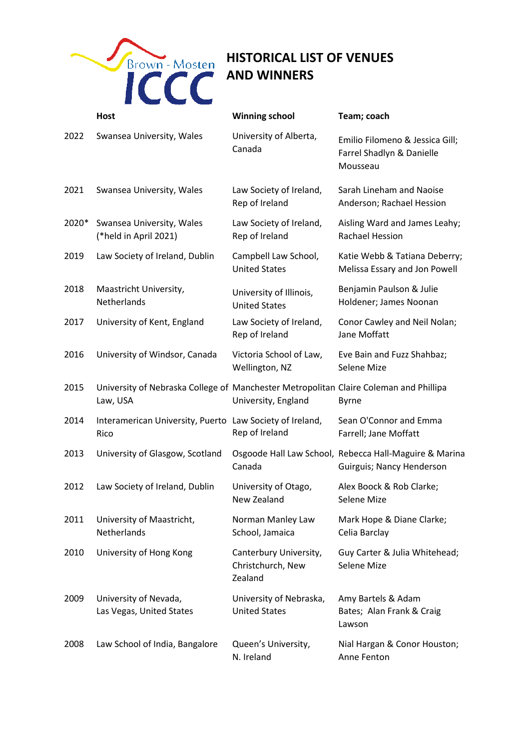

## **HISTORICAL LIST OF VENUES AND WINNERS**

|       | <b>Host</b>                                                                                       | <b>Winning school</b>                                  | Team; coach                                                                         |
|-------|---------------------------------------------------------------------------------------------------|--------------------------------------------------------|-------------------------------------------------------------------------------------|
| 2022  | Swansea University, Wales                                                                         | University of Alberta,<br>Canada                       | Emilio Filomeno & Jessica Gill;<br>Farrel Shadlyn & Danielle<br>Mousseau            |
| 2021  | Swansea University, Wales                                                                         | Law Society of Ireland,<br>Rep of Ireland              | Sarah Lineham and Naoise<br>Anderson; Rachael Hession                               |
| 2020* | Swansea University, Wales<br>(*held in April 2021)                                                | Law Society of Ireland,<br>Rep of Ireland              | Aisling Ward and James Leahy;<br><b>Rachael Hession</b>                             |
| 2019  | Law Society of Ireland, Dublin                                                                    | Campbell Law School,<br><b>United States</b>           | Katie Webb & Tatiana Deberry;<br>Melissa Essary and Jon Powell                      |
| 2018  | Maastricht University,<br>Netherlands                                                             | University of Illinois,<br><b>United States</b>        | Benjamin Paulson & Julie<br>Holdener; James Noonan                                  |
| 2017  | University of Kent, England                                                                       | Law Society of Ireland,<br>Rep of Ireland              | Conor Cawley and Neil Nolan;<br>Jane Moffatt                                        |
| 2016  | University of Windsor, Canada                                                                     | Victoria School of Law,<br>Wellington, NZ              | Eve Bain and Fuzz Shahbaz;<br>Selene Mize                                           |
| 2015  | University of Nebraska College of Manchester Metropolitan Claire Coleman and Phillipa<br>Law, USA | University, England                                    | <b>Byrne</b>                                                                        |
| 2014  | Interamerican University, Puerto Law Society of Ireland,<br>Rico                                  | Rep of Ireland                                         | Sean O'Connor and Emma<br>Farrell; Jane Moffatt                                     |
| 2013  | University of Glasgow, Scotland                                                                   | Canada                                                 | Osgoode Hall Law School, Rebecca Hall-Maguire & Marina<br>Guirguis; Nancy Henderson |
| 2012  | Law Society of Ireland, Dublin                                                                    | University of Otago,<br>New Zealand                    | Alex Boock & Rob Clarke;<br>Selene Mize                                             |
| 2011  | University of Maastricht,<br>Netherlands                                                          | Norman Manley Law<br>School, Jamaica                   | Mark Hope & Diane Clarke;<br>Celia Barclay                                          |
| 2010  | University of Hong Kong                                                                           | Canterbury University,<br>Christchurch, New<br>Zealand | Guy Carter & Julia Whitehead;<br>Selene Mize                                        |
| 2009  | University of Nevada,<br>Las Vegas, United States                                                 | University of Nebraska,<br><b>United States</b>        | Amy Bartels & Adam<br>Bates; Alan Frank & Craig<br>Lawson                           |
| 2008  | Law School of India, Bangalore                                                                    | Queen's University,<br>N. Ireland                      | Nial Hargan & Conor Houston;<br>Anne Fenton                                         |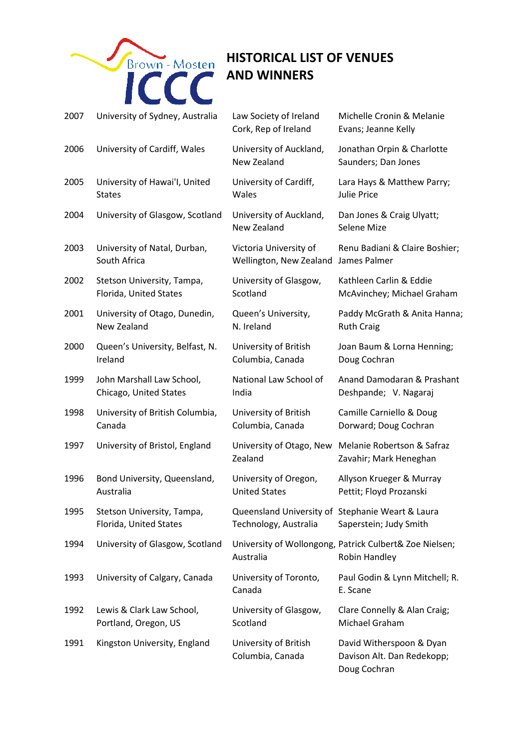

## **HISTORICAL LIST OF VENUES AND WINNERS**

| 2007 | University of Sydney, Australia                      | Law Society of Ireland<br>Cork, Rep of Ireland                            | Michelle Cronin & Melanie<br>Evans; Jeanne Kelly                              |
|------|------------------------------------------------------|---------------------------------------------------------------------------|-------------------------------------------------------------------------------|
| 2006 | University of Cardiff, Wales                         | University of Auckland,<br><b>New Zealand</b>                             | Jonathan Orpin & Charlotte<br>Saunders; Dan Jones                             |
| 2005 | University of Hawai'l, United                        | University of Cardiff,                                                    | Lara Hays & Matthew Parry;                                                    |
|      | <b>States</b>                                        | Wales                                                                     | <b>Julie Price</b>                                                            |
| 2004 | University of Glasgow, Scotland                      | University of Auckland,<br>New Zealand                                    | Dan Jones & Craig Ulyatt;<br>Selene Mize                                      |
| 2003 | University of Natal, Durban,                         | Victoria University of                                                    | Renu Badiani & Claire Boshier;                                                |
|      | South Africa                                         | Wellington, New Zealand                                                   | James Palmer                                                                  |
| 2002 | Stetson University, Tampa,                           | University of Glasgow,                                                    | Kathleen Carlin & Eddie                                                       |
|      | Florida, United States                               | Scotland                                                                  | McAvinchey; Michael Graham                                                    |
| 2001 | University of Otago, Dunedin,                        | Queen's University,                                                       | Paddy McGrath & Anita Hanna;                                                  |
|      | New Zealand                                          | N. Ireland                                                                | <b>Ruth Craig</b>                                                             |
| 2000 | Queen's University, Belfast, N.                      | University of British                                                     | Joan Baum & Lorna Henning;                                                    |
|      | Ireland                                              | Columbia, Canada                                                          | Doug Cochran                                                                  |
| 1999 | John Marshall Law School,                            | National Law School of                                                    | Anand Damodaran & Prashant                                                    |
|      | Chicago, United States                               | India                                                                     | Deshpande; V. Nagaraj                                                         |
| 1998 | University of British Columbia,                      | University of British                                                     | Camille Carniello & Doug                                                      |
|      | Canada                                               | Columbia, Canada                                                          | Dorward; Doug Cochran                                                         |
| 1997 | University of Bristol, England                       | Zealand                                                                   | University of Otago, New Melanie Robertson & Safraz<br>Zavahir; Mark Heneghan |
| 1996 | Bond University, Queensland,                         | University of Oregon,                                                     | Allyson Krueger & Murray                                                      |
|      | Australia                                            | <b>United States</b>                                                      | Pettit; Floyd Prozanski                                                       |
| 1995 | Stetson University, Tampa,<br>Florida, United States | Queensland University of Stephanie Weart & Laura<br>Technology, Australia | Saperstein; Judy Smith                                                        |
| 1994 | University of Glasgow, Scotland                      | Australia                                                                 | University of Wollongong, Patrick Culbert& Zoe Nielsen;<br>Robin Handley      |
| 1993 | University of Calgary, Canada                        | University of Toronto,<br>Canada                                          | Paul Godin & Lynn Mitchell; R.<br>E. Scane                                    |
| 1992 | Lewis & Clark Law School,                            | University of Glasgow,                                                    | Clare Connelly & Alan Craig;                                                  |
|      | Portland, Oregon, US                                 | Scotland                                                                  | Michael Graham                                                                |
| 1991 | Kingston University, England                         | University of British<br>Columbia, Canada                                 | David Witherspoon & Dyan<br>Davison Alt. Dan Redekopp;<br>Doug Cochran        |